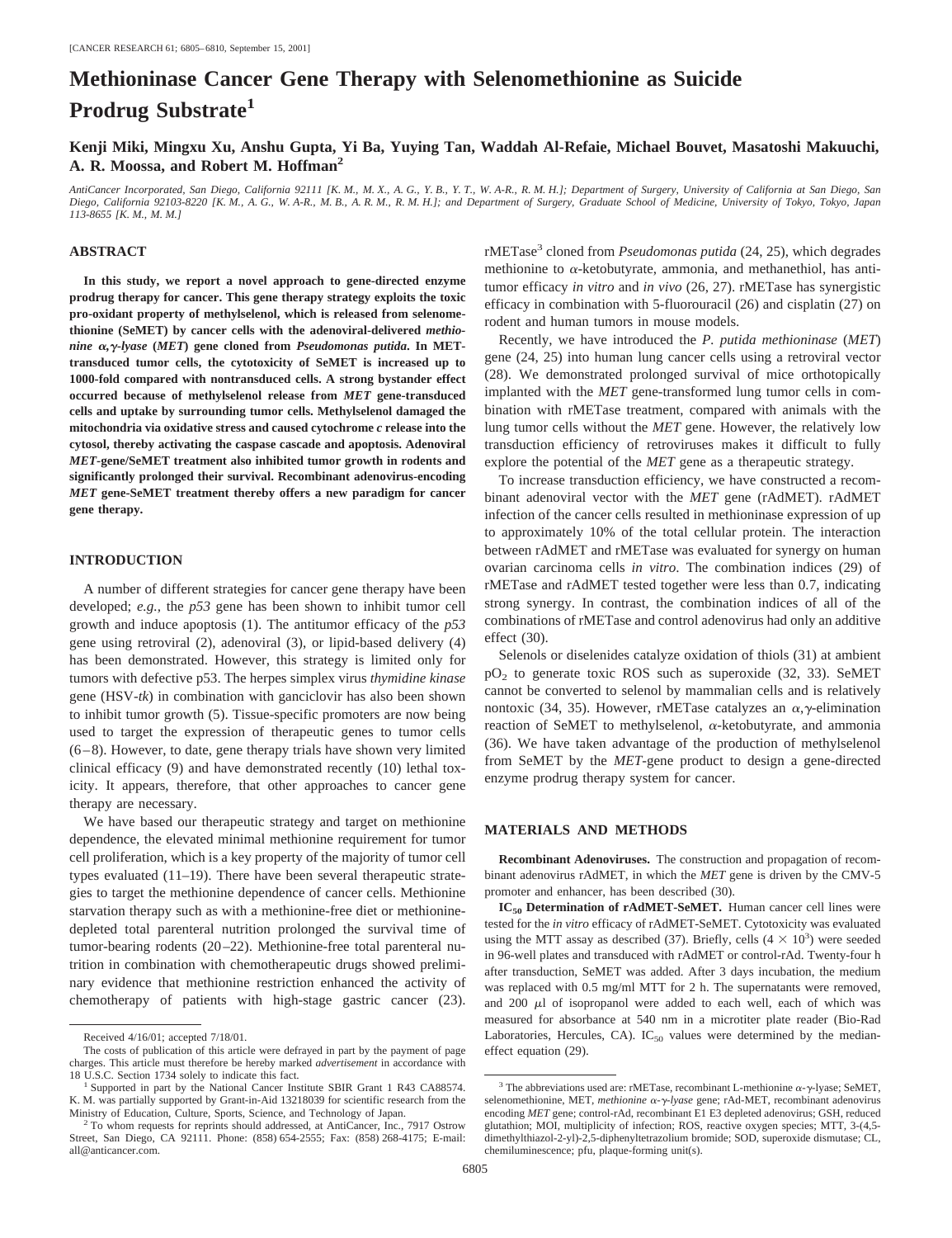# **Methioninase Cancer Gene Therapy with Selenomethionine as Suicide Prodrug Substrate<sup>1</sup>**

**Kenji Miki, Mingxu Xu, Anshu Gupta, Yi Ba, Yuying Tan, Waddah Al-Refaie, Michael Bouvet, Masatoshi Makuuchi, A. R. Moossa, and Robert M. Hoffman2**

*AntiCancer Incorporated, San Diego, California 92111 [K. M., M. X., A. G., Y. B., Y. T., W. A-R., R. M. H.]; Department of Surgery, University of California at San Diego, San Diego, California 92103-8220 [K. M., A. G., W. A-R., M. B., A. R. M., R. M. H.]; and Department of Surgery, Graduate School of Medicine, University of Tokyo, Tokyo, Japan 113-8655 [K. M., M. M.]*

#### **ABSTRACT**

**In this study, we report a novel approach to gene-directed enzyme prodrug therapy for cancer. This gene therapy strategy exploits the toxic pro-oxidant property of methylselenol, which is released from selenomethionine (SeMET) by cancer cells with the adenoviral-delivered** *methionine* α, γ-lyase (MET) gene cloned from *Pseudomonas putida*. In MET**transduced tumor cells, the cytotoxicity of SeMET is increased up to 1000-fold compared with nontransduced cells. A strong bystander effect occurred because of methylselenol release from** *MET* **gene-transduced cells and uptake by surrounding tumor cells. Methylselenol damaged the mitochondria via oxidative stress and caused cytochrome** *c* **release into the cytosol, thereby activating the caspase cascade and apoptosis. Adenoviral** *MET***-gene/SeMET treatment also inhibited tumor growth in rodents and significantly prolonged their survival. Recombinant adenovirus-encoding** *MET* **gene-SeMET treatment thereby offers a new paradigm for cancer gene therapy.**

#### **INTRODUCTION**

A number of different strategies for cancer gene therapy have been developed; *e.g.,* the *p53* gene has been shown to inhibit tumor cell growth and induce apoptosis (1). The antitumor efficacy of the *p53* gene using retroviral (2), adenoviral (3), or lipid-based delivery (4) has been demonstrated. However, this strategy is limited only for tumors with defective p53. The herpes simplex virus *thymidine kinase* gene (HSV-*tk*) in combination with ganciclovir has also been shown to inhibit tumor growth (5). Tissue-specific promoters are now being used to target the expression of therapeutic genes to tumor cells (6–8). However, to date, gene therapy trials have shown very limited clinical efficacy (9) and have demonstrated recently (10) lethal toxicity. It appears, therefore, that other approaches to cancer gene therapy are necessary.

We have based our therapeutic strategy and target on methionine dependence, the elevated minimal methionine requirement for tumor cell proliferation, which is a key property of the majority of tumor cell types evaluated (11–19). There have been several therapeutic strategies to target the methionine dependence of cancer cells. Methionine starvation therapy such as with a methionine-free diet or methioninedepleted total parenteral nutrition prolonged the survival time of tumor-bearing rodents (20–22). Methionine-free total parenteral nutrition in combination with chemotherapeutic drugs showed preliminary evidence that methionine restriction enhanced the activity of chemotherapy of patients with high-stage gastric cancer (23).

rMETase3 cloned from *Pseudomonas putida* (24, 25), which degrades methionine to  $\alpha$ -ketobutyrate, ammonia, and methanethiol, has antitumor efficacy *in vitro* and *in vivo* (26, 27). rMETase has synergistic efficacy in combination with 5-fluorouracil (26) and cisplatin (27) on rodent and human tumors in mouse models.

Recently, we have introduced the *P. putida methioninase* (*MET*) gene (24, 25) into human lung cancer cells using a retroviral vector (28). We demonstrated prolonged survival of mice orthotopically implanted with the *MET* gene-transformed lung tumor cells in combination with rMETase treatment, compared with animals with the lung tumor cells without the *MET* gene. However, the relatively low transduction efficiency of retroviruses makes it difficult to fully explore the potential of the *MET* gene as a therapeutic strategy.

To increase transduction efficiency, we have constructed a recombinant adenoviral vector with the *MET* gene (rAdMET). rAdMET infection of the cancer cells resulted in methioninase expression of up to approximately 10% of the total cellular protein. The interaction between rAdMET and rMETase was evaluated for synergy on human ovarian carcinoma cells *in vitro*. The combination indices (29) of rMETase and rAdMET tested together were less than 0.7, indicating strong synergy. In contrast, the combination indices of all of the combinations of rMETase and control adenovirus had only an additive effect (30).

Selenols or diselenides catalyze oxidation of thiols (31) at ambient  $pO<sub>2</sub>$  to generate toxic ROS such as superoxide (32, 33). SeMET cannot be converted to selenol by mammalian cells and is relatively nontoxic (34, 35). However, rMETase catalyzes an  $\alpha$ ,  $\gamma$ -elimination reaction of SeMET to methylselenol,  $\alpha$ -ketobutyrate, and ammonia (36). We have taken advantage of the production of methylselenol from SeMET by the *MET*-gene product to design a gene-directed enzyme prodrug therapy system for cancer.

#### **MATERIALS AND METHODS**

**Recombinant Adenoviruses.** The construction and propagation of recombinant adenovirus rAdMET, in which the *MET* gene is driven by the CMV-5 promoter and enhancer, has been described (30).

**IC<sub>50</sub> Determination of rAdMET-SeMET.** Human cancer cell lines were tested for the *in vitro* efficacy of rAdMET-SeMET. Cytotoxicity was evaluated using the MTT assay as described (37). Briefly, cells  $(4 \times 10^3)$  were seeded in 96-well plates and transduced with rAdMET or control-rAd. Twenty-four h after transduction, SeMET was added. After 3 days incubation, the medium was replaced with 0.5 mg/ml MTT for 2 h. The supernatants were removed, and  $200 \mu l$  of isopropanol were added to each well, each of which was measured for absorbance at 540 nm in a microtiter plate reader (Bio-Rad Laboratories, Hercules, CA).  $IC_{50}$  values were determined by the medianeffect equation (29).

Received 4/16/01; accepted 7/18/01.

The costs of publication of this article were defrayed in part by the payment of page charges. This article must therefore be hereby marked *advertisement* in accordance with

<sup>18</sup> U.S.C. Section 1734 solely to indicate this fact. <sup>1</sup> Supported in part by the National Cancer Institute SBIR Grant 1 R43 CA88574. K. M. was partially supported by Grant-in-Aid 13218039 for scientific research from the Ministry of Education, Culture, Sports, Science, and Technology of Japan.

<sup>&</sup>lt;sup>2</sup> To whom requests for reprints should addressed, at AntiCancer, Inc., 7917 Ostrow Street, San Diego, CA 92111. Phone: (858) 654-2555; Fax: (858) 268-4175; E-mail: all@anticancer.com.

<sup>&</sup>lt;sup>3</sup> The abbreviations used are: rMETase, recombinant L-methionine  $\alpha$ - $\gamma$ -lyase; SeMET, selenomethionine, MET, *methionine* α-γ-lyase gene; rAd-MET, recombinant adenovirus encoding *MET* gene; control-rAd, recombinant E1 E3 depleted adenovirus; GSH, reduced glutathion; MOI, multiplicity of infection; ROS, reactive oxygen species; MTT, 3-(4,5 dimethylthiazol-2-yl)-2,5-diphenyltetrazolium bromide; SOD, superoxide dismutase; CL, chemiluminescence; pfu, plaque-forming unit(s).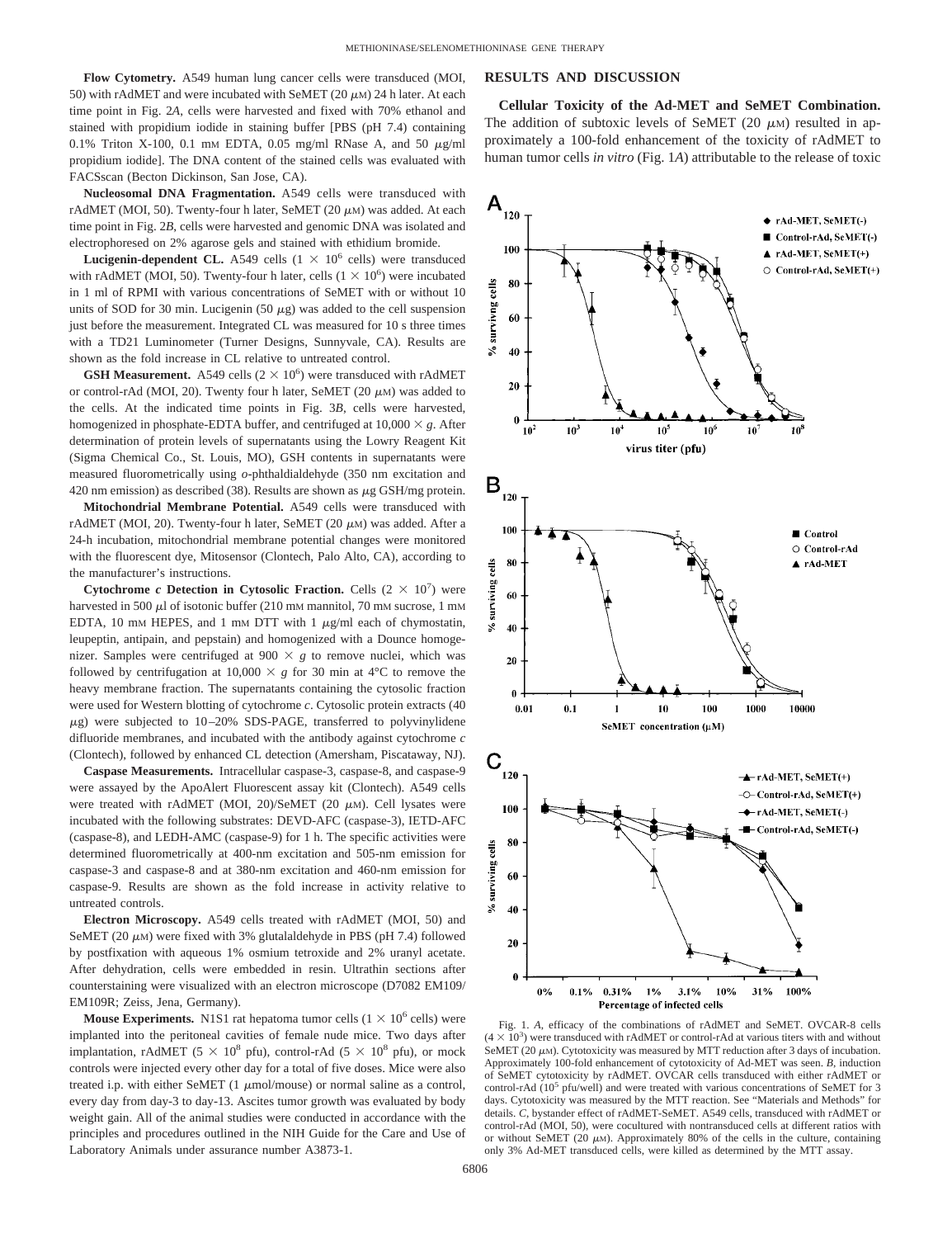**Flow Cytometry.** A549 human lung cancer cells were transduced (MOI, 50) with rAdMET and were incubated with SeMET  $(20 \mu)$  24 h later. At each time point in Fig. 2*A*, cells were harvested and fixed with 70% ethanol and stained with propidium iodide in staining buffer [PBS (pH 7.4) containing 0.1% Triton X-100, 0.1 mm EDTA, 0.05 mg/ml RNase A, and 50  $\mu$ g/ml propidium iodide]. The DNA content of the stained cells was evaluated with FACSscan (Becton Dickinson, San Jose, CA).

**Nucleosomal DNA Fragmentation.** A549 cells were transduced with rAdMET (MOI, 50). Twenty-four h later, SeMET  $(20 \mu)$  was added. At each time point in Fig. 2*B*, cells were harvested and genomic DNA was isolated and electrophoresed on 2% agarose gels and stained with ethidium bromide.

**Lucigenin-dependent CL.** A549 cells  $(1 \times 10^6 \text{ cells})$  were transduced with rAdMET (MOI, 50). Twenty-four h later, cells  $(1 \times 10^6)$  were incubated in 1 ml of RPMI with various concentrations of SeMET with or without 10 units of SOD for 30 min. Lucigenin (50  $\mu$ g) was added to the cell suspension just before the measurement. Integrated CL was measured for 10 s three times with a TD21 Luminometer (Turner Designs, Sunnyvale, CA). Results are shown as the fold increase in CL relative to untreated control.

**GSH Measurement.** A549 cells  $(2 \times 10^6)$  were transduced with rAdMET or control-rAd (MOI, 20). Twenty four h later, SeMET (20  $\mu$ M) was added to the cells. At the indicated time points in Fig. 3*B*, cells were harvested, homogenized in phosphate-EDTA buffer, and centrifuged at  $10,000 \times g$ . After determination of protein levels of supernatants using the Lowry Reagent Kit (Sigma Chemical Co., St. Louis, MO), GSH contents in supernatants were measured fluorometrically using *o*-phthaldialdehyde (350 nm excitation and 420 nm emission) as described (38). Results are shown as  $\mu$ g GSH/mg protein.

**Mitochondrial Membrane Potential.** A549 cells were transduced with rAdMET (MOI, 20). Twenty-four h later, SeMET (20  $\mu$ M) was added. After a 24-h incubation, mitochondrial membrane potential changes were monitored with the fluorescent dye, Mitosensor (Clontech, Palo Alto, CA), according to the manufacturer's instructions.

**Cytochrome** *c* **Detection in Cytosolic Fraction.** Cells  $(2 \times 10^7)$  were harvested in 500  $\mu$ l of isotonic buffer (210 mm mannitol, 70 mm sucrose, 1 mm EDTA, 10 mm HEPES, and 1 mm DTT with 1  $\mu$ g/ml each of chymostatin, leupeptin, antipain, and pepstain) and homogenized with a Dounce homogenizer. Samples were centrifuged at  $900 \times g$  to remove nuclei, which was followed by centrifugation at  $10,000 \times g$  for 30 min at 4<sup>o</sup>C to remove the heavy membrane fraction. The supernatants containing the cytosolic fraction were used for Western blotting of cytochrome *c*. Cytosolic protein extracts (40  $\mu$ g) were subjected to 10–20% SDS-PAGE, transferred to polyvinylidene difluoride membranes, and incubated with the antibody against cytochrome *c* (Clontech), followed by enhanced CL detection (Amersham, Piscataway, NJ).

**Caspase Measurements.** Intracellular caspase-3, caspase-8, and caspase-9 were assayed by the ApoAlert Fluorescent assay kit (Clontech). A549 cells were treated with rAdMET (MOI, 20)/SeMET (20  $\mu$ M). Cell lysates were incubated with the following substrates: DEVD-AFC (caspase-3), IETD-AFC (caspase-8), and LEDH-AMC (caspase-9) for 1 h. The specific activities were determined fluorometrically at 400-nm excitation and 505-nm emission for caspase-3 and caspase-8 and at 380-nm excitation and 460-nm emission for caspase-9. Results are shown as the fold increase in activity relative to untreated controls.

**Electron Microscopy.** A549 cells treated with rAdMET (MOI, 50) and SeMET (20  $\mu$ M) were fixed with 3% glutalaldehyde in PBS (pH 7.4) followed by postfixation with aqueous 1% osmium tetroxide and 2% uranyl acetate. After dehydration, cells were embedded in resin. Ultrathin sections after counterstaining were visualized with an electron microscope (D7082 EM109/ EM109R; Zeiss, Jena, Germany).

**Mouse Experiments.** N1S1 rat hepatoma tumor cells  $(1 \times 10^6 \text{ cells})$  were implanted into the peritoneal cavities of female nude mice. Two days after implantation, rAdMET (5  $\times$  10<sup>8</sup> pfu), control-rAd (5  $\times$  10<sup>8</sup> pfu), or mock controls were injected every other day for a total of five doses. Mice were also treated i.p. with either SeMET  $(1 \mu \text{mol/mouse})$  or normal saline as a control, every day from day-3 to day-13. Ascites tumor growth was evaluated by body weight gain. All of the animal studies were conducted in accordance with the principles and procedures outlined in the NIH Guide for the Care and Use of Laboratory Animals under assurance number A3873-1.

### **RESULTS AND DISCUSSION**

**Cellular Toxicity of the Ad-MET and SeMET Combination.** The addition of subtoxic levels of SeMET (20  $\mu$ M) resulted in approximately a 100-fold enhancement of the toxicity of rAdMET to human tumor cells *in vitro* (Fig. 1*A*) attributable to the release of toxic



Fig. 1. *A*, efficacy of the combinations of rAdMET and SeMET. OVCAR-8 cells  $(4 \times 10^3)$  were transduced with rAdMET or control-rAd at various titers with and without SeMET (20  $\mu$ M). Cytotoxicity was measured by MTT reduction after 3 days of incubation. Approximately 100-fold enhancement of cytotoxicity of Ad-MET was seen. *B*, induction of SeMET cytotoxicity by rAdMET. OVCAR cells transduced with either rAdMET or control-rAd  $(10^5 \text{ pfu/well})$  and were treated with various concentrations of SeMET for 3 days. Cytotoxicity was measured by the MTT reaction. See "Materials and Methods" for details. *C*, bystander effect of rAdMET-SeMET. A549 cells, transduced with rAdMET or control-rAd (MOI, 50), were cocultured with nontransduced cells at different ratios with or without SeMET (20  $\mu$ M). Approximately 80% of the cells in the culture, containing only 3% Ad-MET transduced cells, were killed as determined by the MTT assay.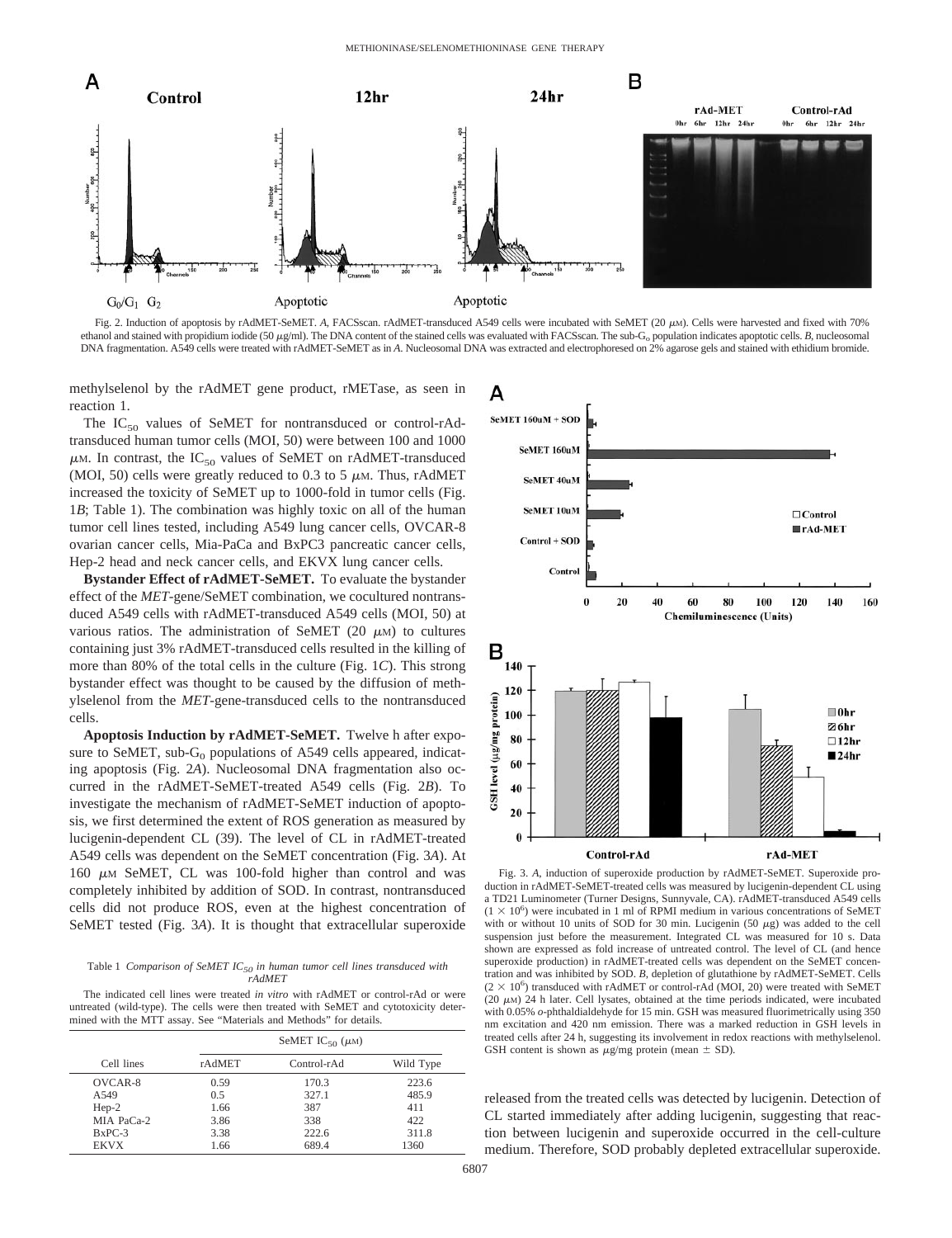

Fig. 2. Induction of apoptosis by rAdMET-SeMET. A, FACSscan. rAdMET-transduced A549 cells were incubated with SeMET (20  $\mu$ M). Cells were harvested and fixed with 70% ethanol and stained with propidium iodide (50  $\mu$ g/ml). The DNA content of the stained cells was evaluated with FACSscan. The sub-G<sub>o</sub> population indicates apoptotic cells. *B*, nucleosomal DNA fragmentation. A549 cells were treated with rAdMET-SeMET as in *A*. Nucleosomal DNA was extracted and electrophoresed on 2% agarose gels and stained with ethidium bromide.

methylselenol by the rAdMET gene product, rMETase, as seen in reaction 1.

The  $IC_{50}$  values of SeMET for nontransduced or control-rAdtransduced human tumor cells (MOI, 50) were between 100 and 1000  $\mu$ M. In contrast, the IC<sub>50</sub> values of SeMET on rAdMET-transduced (MOI, 50) cells were greatly reduced to 0.3 to 5  $\mu$ M. Thus, rAdMET increased the toxicity of SeMET up to 1000-fold in tumor cells (Fig. 1*B*; Table 1). The combination was highly toxic on all of the human tumor cell lines tested, including A549 lung cancer cells, OVCAR-8 ovarian cancer cells, Mia-PaCa and BxPC3 pancreatic cancer cells, Hep-2 head and neck cancer cells, and EKVX lung cancer cells.

**Bystander Effect of rAdMET-SeMET.** To evaluate the bystander effect of the *MET*-gene/SeMET combination, we cocultured nontransduced A549 cells with rAdMET-transduced A549 cells (MOI, 50) at various ratios. The administration of SeMET (20  $\mu$ M) to cultures containing just 3% rAdMET-transduced cells resulted in the killing of more than 80% of the total cells in the culture (Fig. 1*C*). This strong bystander effect was thought to be caused by the diffusion of methylselenol from the *MET*-gene-transduced cells to the nontransduced cells.

**Apoptosis Induction by rAdMET-SeMET.** Twelve h after exposure to SeMET, sub- $G_0$  populations of A549 cells appeared, indicating apoptosis (Fig. 2*A*). Nucleosomal DNA fragmentation also occurred in the rAdMET-SeMET-treated A549 cells (Fig. 2*B*). To investigate the mechanism of rAdMET-SeMET induction of apoptosis, we first determined the extent of ROS generation as measured by lucigenin-dependent CL (39). The level of CL in rAdMET-treated A549 cells was dependent on the SeMET concentration (Fig. 3*A*). At 160  $\mu$ M SeMET, CL was 100-fold higher than control and was completely inhibited by addition of SOD. In contrast, nontransduced cells did not produce ROS, even at the highest concentration of SeMET tested (Fig. 3*A*). It is thought that extracellular superoxide

Table 1 *Comparison of SeMET IC50 in human tumor cell lines transduced with rAdMET*

The indicated cell lines were treated *in vitro* with rAdMET or control-rAd or were untreated (wild-type). The cells were then treated with SeMET and cytotoxicity determined with the MTT assay. See "Materials and Methods" for details.

|             | SeMET IC <sub>50</sub> $(\mu M)$ |             |           |
|-------------|----------------------------------|-------------|-----------|
| Cell lines  | rAdMET                           | Control-rAd | Wild Type |
| OVCAR-8     | 0.59                             | 170.3       | 223.6     |
| A549        | 0.5                              | 327.1       | 485.9     |
| $Hep-2$     | 1.66                             | 387         | 411       |
| MIA PaCa-2  | 3.86                             | 338         | 422       |
| $BxPC-3$    | 3.38                             | 222.6       | 311.8     |
| <b>EKVX</b> | 1.66                             | 689.4       | 1360      |



Fig. 3. *A*, induction of superoxide production by rAdMET-SeMET. Superoxide production in rAdMET-SeMET-treated cells was measured by lucigenin-dependent CL using a TD21 Luminometer (Turner Designs, Sunnyvale, CA). rAdMET-transduced A549 cells  $(1 \times 10^6)$  were incubated in 1 ml of RPMI medium in various concentrations of SeMET with or without 10 units of SOD for 30 min. Lucigenin (50  $\mu$ g) was added to the cell suspension just before the measurement. Integrated CL was measured for 10 s. Data shown are expressed as fold increase of untreated control. The level of CL (and hence superoxide production) in rAdMET-treated cells was dependent on the SeMET concentration and was inhibited by SOD. *B*, depletion of glutathione by rAdMET-SeMET. Cells  $(2 \times 10^6)$  transduced with rAdMET or control-rAd (MOI, 20) were treated with SeMET  $(20 \mu)$  24 h later. Cell lysates, obtained at the time periods indicated, were incubated with 0.05% *o*-phthaldialdehyde for 15 min. GSH was measured fluorimetrically using 350 nm excitation and 420 nm emission. There was a marked reduction in GSH levels in treated cells after 24 h, suggesting its involvement in redox reactions with methylselenol. GSH content is shown as  $\mu$ g/mg protein (mean  $\pm$  SD).

released from the treated cells was detected by lucigenin. Detection of CL started immediately after adding lucigenin, suggesting that reaction between lucigenin and superoxide occurred in the cell-culture medium. Therefore, SOD probably depleted extracellular superoxide.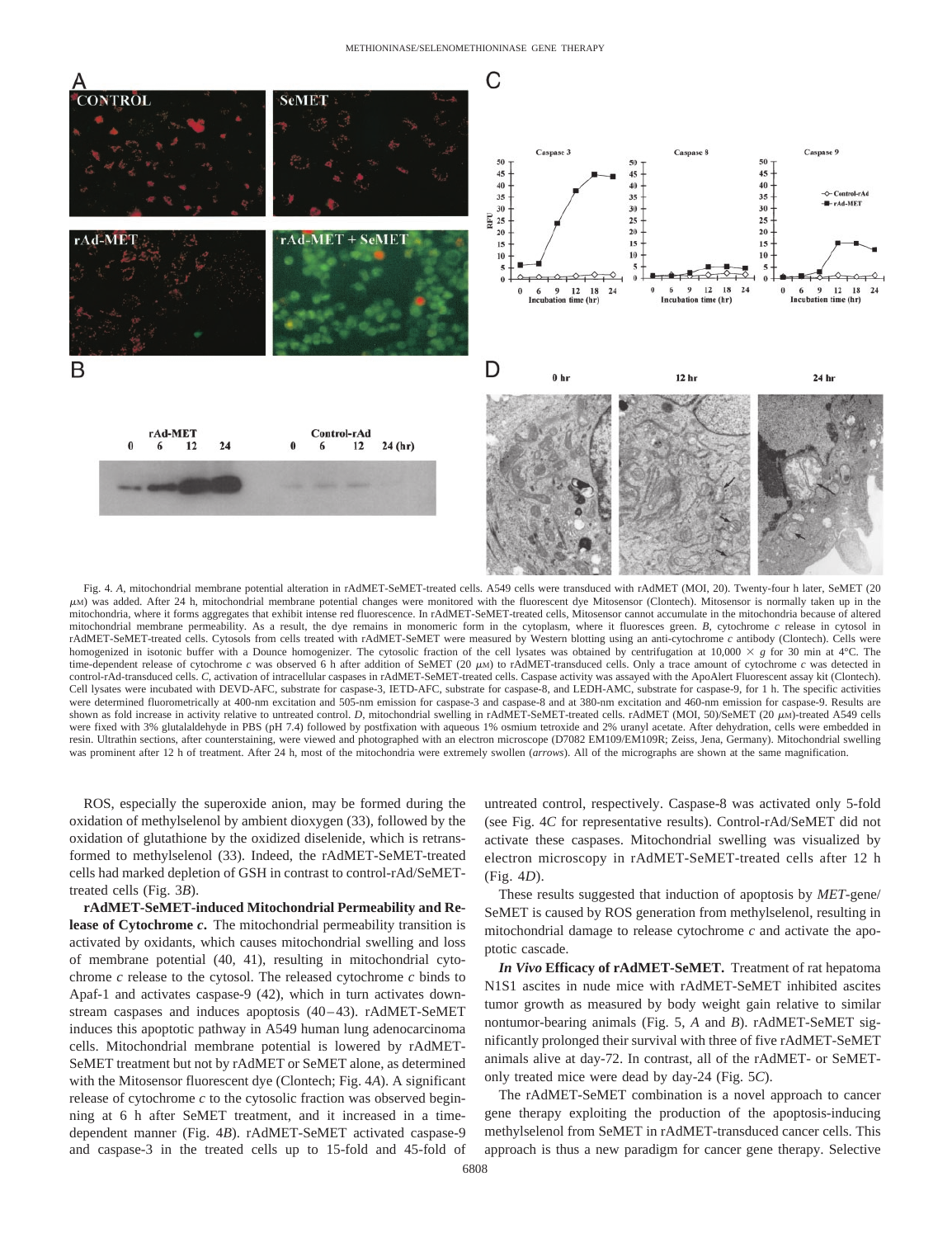

Fig. 4. *A*, mitochondrial membrane potential alteration in rAdMET-SeMET-treated cells. A549 cells were transduced with rAdMET (MOI, 20). Twenty-four h later, SeMET (20  $\mu$ M) was added. After 24 h, mitochondrial membrane potential changes were monitored with the fluorescent dye Mitosensor (Clontech). Mitosensor is normally taken up in the mitochondria, where it forms aggregates that exhibit intense red fluorescence. In rAdMET-SeMET-treated cells, Mitosensor cannot accumulate in the mitochondria because of altered mitochondrial membrane permeability. As a result, the dye remains in monomeric form in the cytoplasm, where it fluoresces green. *B*, cytochrome *c* release in cytosol in rAdMET-SeMET-treated cells. Cytosols from cells treated with rAdMET-SeMET were measured by Western blotting using an anti-cytochrome *c* antibody (Clontech). Cells were homogenized in isotonic buffer with a Dounce homogenizer. The cytosolic fraction of the cell lysates was obtained by centrifugation at  $10,000 \times g$  for 30 min at 4°C. The time-dependent release of cytochrome *c* was observed 6 h after addition of SeMET (20  $\mu$ M) to rAdMET-transduced cells. Only a trace amount of cytochrome *c* was detected in control-rAd-transduced cells. *C*, activation of intracellular caspases in rAdMET-SeMET-treated cells. Caspase activity was assayed with the ApoAlert Fluorescent assay kit (Clontech). Cell lysates were incubated with DEVD-AFC, substrate for caspase-3, IETD-AFC, substrate for caspase-8, and LEDH-AMC, substrate for caspase-9, for 1 h. The specific activities were determined fluorometrically at 400-nm excitation and 505-nm emission for caspase-3 and caspase-8 and at 380-nm excitation and 460-nm emission for caspase-9. Results are shown as fold increase in activity relative to untreated control. *D*, mitochondrial swelling in rAdMET-SeMET-treated cells. rAdMET (MOI, 50)/SeMET (20  $\mu$ M)-treated A549 cells were fixed with 3% glutalaldehyde in PBS (pH 7.4) followed by postfixation with aqueous 1% osmium tetroxide and 2% uranyl acetate. After dehydration, cells were embedded in resin. Ultrathin sections, after counterstaining, were viewed and photographed with an electron microscope (D7082 EM109/EM109R; Zeiss, Jena, Germany). Mitochondrial swelling was prominent after 12 h of treatment. After 24 h, most of the mitochondria were extremely swollen (*arrows*). All of the micrographs are shown at the same magnification.

ROS, especially the superoxide anion, may be formed during the oxidation of methylselenol by ambient dioxygen (33), followed by the oxidation of glutathione by the oxidized diselenide, which is retransformed to methylselenol (33). Indeed, the rAdMET-SeMET-treated cells had marked depletion of GSH in contrast to control-rAd/SeMETtreated cells (Fig. 3*B*).

**rAdMET-SeMET-induced Mitochondrial Permeability and Release of Cytochrome** *c***.** The mitochondrial permeability transition is activated by oxidants, which causes mitochondrial swelling and loss of membrane potential (40, 41), resulting in mitochondrial cytochrome *c* release to the cytosol. The released cytochrome *c* binds to Apaf-1 and activates caspase-9 (42), which in turn activates downstream caspases and induces apoptosis (40–43). rAdMET-SeMET induces this apoptotic pathway in A549 human lung adenocarcinoma cells. Mitochondrial membrane potential is lowered by rAdMET-SeMET treatment but not by rAdMET or SeMET alone, as determined with the Mitosensor fluorescent dye (Clontech; Fig. 4*A*). A significant release of cytochrome *c* to the cytosolic fraction was observed beginning at 6 h after SeMET treatment, and it increased in a timedependent manner (Fig. 4*B*). rAdMET-SeMET activated caspase-9 and caspase-3 in the treated cells up to 15-fold and 45-fold of untreated control, respectively. Caspase-8 was activated only 5-fold (see Fig. 4*C* for representative results). Control-rAd/SeMET did not activate these caspases. Mitochondrial swelling was visualized by electron microscopy in rAdMET-SeMET-treated cells after 12 h (Fig. 4*D*).

These results suggested that induction of apoptosis by *MET*-gene/ SeMET is caused by ROS generation from methylselenol, resulting in mitochondrial damage to release cytochrome *c* and activate the apoptotic cascade.

*In Vivo* **Efficacy of rAdMET-SeMET.** Treatment of rat hepatoma N1S1 ascites in nude mice with rAdMET-SeMET inhibited ascites tumor growth as measured by body weight gain relative to similar nontumor-bearing animals (Fig. 5, *A* and *B*). rAdMET-SeMET significantly prolonged their survival with three of five rAdMET-SeMET animals alive at day-72. In contrast, all of the rAdMET- or SeMETonly treated mice were dead by day-24 (Fig. 5*C*).

The rAdMET-SeMET combination is a novel approach to cancer gene therapy exploiting the production of the apoptosis-inducing methylselenol from SeMET in rAdMET-transduced cancer cells. This approach is thus a new paradigm for cancer gene therapy. Selective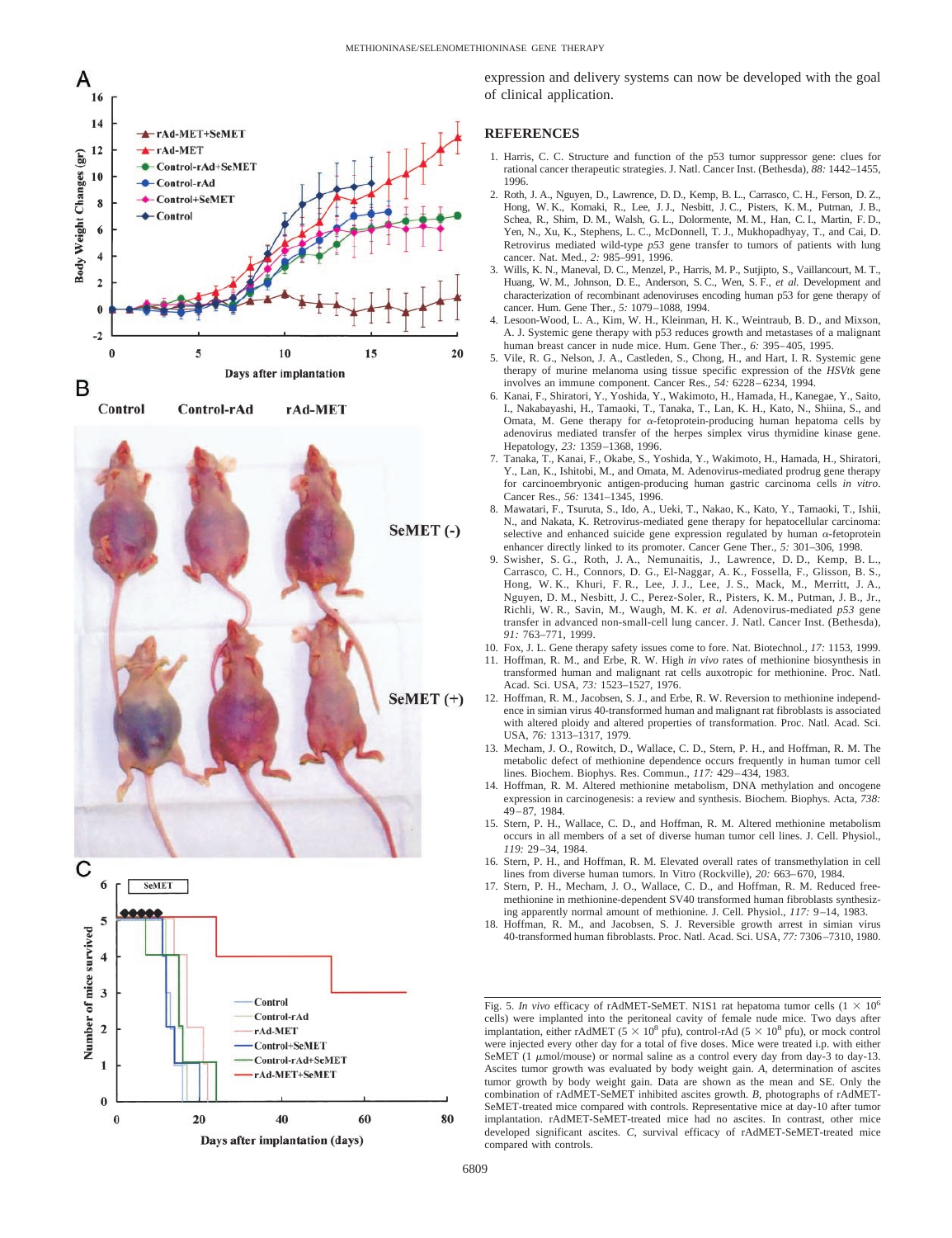





expression and delivery systems can now be developed with the goal of clinical application.

## **REFERENCES**

- 1. Harris, C. C. Structure and function of the p53 tumor suppressor gene: clues for rational cancer therapeutic strategies. J. Natl. Cancer Inst. (Bethesda), *88:* 1442–1455, 1996.
- 2. Roth, J. A., Nguyen, D., Lawrence, D. D., Kemp, B. L., Carrasco, C. H., Ferson, D. Z., Hong, W. K., Komaki, R., Lee, J. J., Nesbitt, J. C., Pisters, K. M., Putman, J. B., Schea, R., Shim, D. M., Walsh, G. L., Dolormente, M. M., Han, C. I., Martin, F. D., Yen, N., Xu, K., Stephens, L. C., McDonnell, T. J., Mukhopadhyay, T., and Cai, D. Retrovirus mediated wild-type *p53* gene transfer to tumors of patients with lung cancer. Nat. Med., *2:* 985–991, 1996.
- 3. Wills, K. N., Maneval, D. C., Menzel, P., Harris, M. P., Sutjipto, S., Vaillancourt, M. T., Huang, W. M., Johnson, D. E., Anderson, S. C., Wen, S. F., *et al*. Development and characterization of recombinant adenoviruses encoding human p53 for gene therapy of cancer. Hum. Gene Ther., *5:* 1079–1088, 1994.
- 4. Lesoon-Wood, L. A., Kim, W. H., Kleinman, H. K., Weintraub, B. D., and Mixson, A. J. Systemic gene therapy with p53 reduces growth and metastases of a malignant human breast cancer in nude mice. Hum. Gene Ther., *6:* 395–405, 1995.
- 5. Vile, R. G., Nelson, J. A., Castleden, S., Chong, H., and Hart, I. R. Systemic gene therapy of murine melanoma using tissue specific expression of the *HSVtk* gene involves an immune component. Cancer Res., *54:* 6228–6234, 1994.
- 6. Kanai, F., Shiratori, Y., Yoshida, Y., Wakimoto, H., Hamada, H., Kanegae, Y., Saito, I., Nakabayashi, H., Tamaoki, T., Tanaka, T., Lan, K. H., Kato, N., Shiina, S., and Omata, M. Gene therapy for  $\alpha$ -fetoprotein-producing human hepatoma cells by adenovirus mediated transfer of the herpes simplex virus thymidine kinase gene. Hepatology, *23:* 1359–1368, 1996.
- 7. Tanaka, T., Kanai, F., Okabe, S., Yoshida, Y., Wakimoto, H., Hamada, H., Shiratori, Y., Lan, K., Ishitobi, M., and Omata, M. Adenovirus-mediated prodrug gene therapy for carcinoembryonic antigen-producing human gastric carcinoma cells *in vitro*. Cancer Res., *56:* 1341–1345, 1996.
- 8. Mawatari, F., Tsuruta, S., Ido, A., Ueki, T., Nakao, K., Kato, Y., Tamaoki, T., Ishii, N., and Nakata, K. Retrovirus-mediated gene therapy for hepatocellular carcinoma: selective and enhanced suicide gene expression regulated by human  $\alpha$ -fetoprotein enhancer directly linked to its promoter. Cancer Gene Ther., *5:* 301–306, 1998.
- 9. Swisher, S. G., Roth, J. A., Nemunaitis, J., Lawrence, D. D., Kemp, B. L. Carrasco, C. H., Connors, D. G., El-Naggar, A. K., Fossella, F., Glisson, B. S., Hong, W. K., Khuri, F. R., Lee, J. J., Lee, J. S., Mack, M., Merritt, J. A., Nguyen, D. M., Nesbitt, J. C., Perez-Soler, R., Pisters, K. M., Putman, J. B., Jr., Richli, W. R., Savin, M., Waugh, M. K. *et al.* Adenovirus-mediated *p53* gene transfer in advanced non-small-cell lung cancer. J. Natl. Cancer Inst. (Bethesda), *91:* 763–771, 1999.
- 10. Fox, J. L. Gene therapy safety issues come to fore. Nat. Biotechnol., *17:* 1153, 1999.
- 11. Hoffman, R. M., and Erbe, R. W. High *in vivo* rates of methionine biosynthesis in transformed human and malignant rat cells auxotropic for methionine. Proc. Natl. Acad. Sci. USA, *73:* 1523–1527, 1976.
- 12. Hoffman, R. M., Jacobsen, S. J., and Erbe, R. W. Reversion to methionine independence in simian virus 40-transformed human and malignant rat fibroblasts is associated with altered ploidy and altered properties of transformation. Proc. Natl. Acad. Sci. USA, *76:* 1313–1317, 1979.
- 13. Mecham, J. O., Rowitch, D., Wallace, C. D., Stern, P. H., and Hoffman, R. M. The metabolic defect of methionine dependence occurs frequently in human tumor cell lines. Biochem. Biophys. Res. Commun., *117:* 429–434, 1983.
- 14. Hoffman, R. M. Altered methionine metabolism, DNA methylation and oncogene expression in carcinogenesis: a review and synthesis. Biochem. Biophys. Acta, *738:* 49–87, 1984.
- 15. Stern, P. H., Wallace, C. D., and Hoffman, R. M. Altered methionine metabolism occurs in all members of a set of diverse human tumor cell lines. J. Cell. Physiol., *119:* 29–34, 1984.
- 16. Stern, P. H., and Hoffman, R. M. Elevated overall rates of transmethylation in cell lines from diverse human tumors. In Vitro (Rockville), *20:* 663–670, 1984.
- 17. Stern, P. H., Mecham, J. O., Wallace, C. D., and Hoffman, R. M. Reduced freemethionine in methionine-dependent SV40 transformed human fibroblasts synthesizing apparently normal amount of methionine. J. Cell. Physiol., *117:* 9–14, 1983.
- 18. Hoffman, R. M., and Jacobsen, S. J. Reversible growth arrest in simian virus 40-transformed human fibroblasts. Proc. Natl. Acad. Sci. USA, *77:* 7306–7310, 1980.

Fig. 5. *In vivo* efficacy of rAdMET-SeMET. N1S1 rat hepatoma tumor cells  $(1 \times 10^6$ cells) were implanted into the peritoneal cavity of female nude mice. Two days after implantation, either rAdMET ( $5 \times 10^8$  pfu), control-rAd ( $5 \times 10^8$  pfu), or mock control were injected every other day for a total of five doses. Mice were treated i.p. with either SeMET (1  $\mu$ mol/mouse) or normal saline as a control every day from day-3 to day-13. Ascites tumor growth was evaluated by body weight gain. *A*, determination of ascites tumor growth by body weight gain. Data are shown as the mean and SE. Only the combination of rAdMET-SeMET inhibited ascites growth. *B*, photographs of rAdMET-SeMET-treated mice compared with controls. Representative mice at day-10 after tumor implantation. rAdMET-SeMET-treated mice had no ascites. In contrast, other mice developed significant ascites. *C*, survival efficacy of rAdMET-SeMET-treated mice compared with controls.